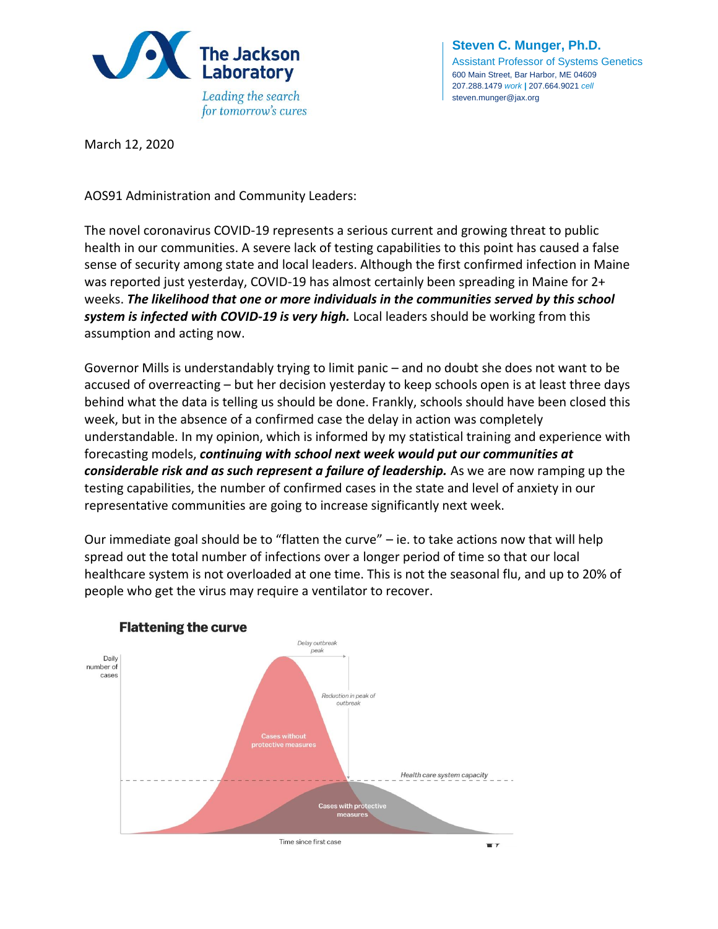

**Steven C. Munger, Ph.D.** Assistant Professor of Systems Genetics 600 Main Street, Bar Harbor, ME 04609 207.288.1479 *work* **|** 207.664.9021 *cell* steven.munger@jax.org

March 12, 2020

AOS91 Administration and Community Leaders:

The novel coronavirus COVID-19 represents a serious current and growing threat to public health in our communities. A severe lack of testing capabilities to this point has caused a false sense of security among state and local leaders. Although the first confirmed infection in Maine was reported just yesterday, COVID-19 has almost certainly been spreading in Maine for 2+ weeks. *The likelihood that one or more individuals in the communities served by this school system is infected with COVID-19 is very high.* Local leaders should be working from this assumption and acting now.

Governor Mills is understandably trying to limit panic – and no doubt she does not want to be accused of overreacting – but her decision yesterday to keep schools open is at least three days behind what the data is telling us should be done. Frankly, schools should have been closed this week, but in the absence of a confirmed case the delay in action was completely understandable. In my opinion, which is informed by my statistical training and experience with forecasting models, *continuing with school next week would put our communities at considerable risk and as such represent a failure of leadership.* As we are now ramping up the testing capabilities, the number of confirmed cases in the state and level of anxiety in our representative communities are going to increase significantly next week.

Our immediate goal should be to "flatten the curve" – ie. to take actions now that will help spread out the total number of infections over a longer period of time so that our local healthcare system is not overloaded at one time. This is not the seasonal flu, and up to 20% of people who get the virus may require a ventilator to recover.



## **Flattening the curve**